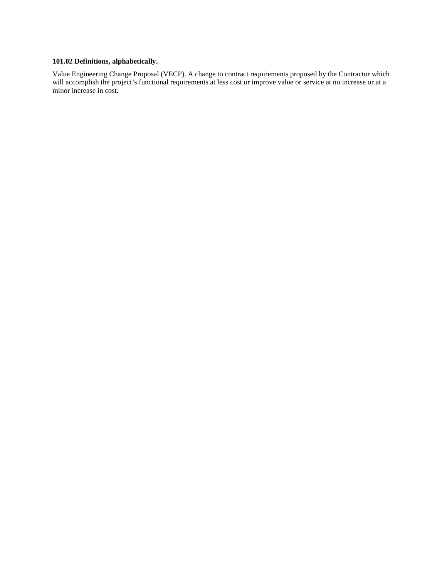## **101.02 Definitions, alphabetically.**

Value Engineering Change Proposal (VECP). A change to contract requirements proposed by the Contractor which will accomplish the project's functional requirements at less cost or improve value or service at no increase or at a minor increase in cost.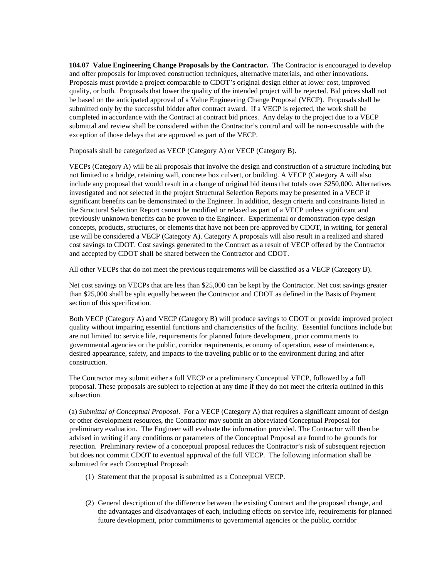**104.07 Value Engineering Change Proposals by the Contractor.** The Contractor is encouraged to develop and offer proposals for improved construction techniques, alternative materials, and other innovations. Proposals must provide a project comparable to CDOT's original design either at lower cost, improved quality, or both. Proposals that lower the quality of the intended project will be rejected. Bid prices shall not be based on the anticipated approval of a Value Engineering Change Proposal (VECP). Proposals shall be submitted only by the successful bidder after contract award. If a VECP is rejected, the work shall be completed in accordance with the Contract at contract bid prices. Any delay to the project due to a VECP submittal and review shall be considered within the Contractor's control and will be non-excusable with the exception of those delays that are approved as part of the VECP.

Proposals shall be categorized as VECP (Category A) or VECP (Category B).

VECPs (Category A) will be all proposals that involve the design and construction of a structure including but not limited to a bridge, retaining wall, concrete box culvert, or building. A VECP (Category A will also include any proposal that would result in a change of original bid items that totals over \$250,000. Alternatives investigated and not selected in the project Structural Selection Reports may be presented in a VECP if significant benefits can be demonstrated to the Engineer. In addition, design criteria and constraints listed in the Structural Selection Report cannot be modified or relaxed as part of a VECP unless significant and previously unknown benefits can be proven to the Engineer. Experimental or demonstration-type design concepts, products, structures, or elements that have not been pre-approved by CDOT, in writing, for general use will be considered a VECP (Category A). Category A proposals will also result in a realized and shared cost savings to CDOT. Cost savings generated to the Contract as a result of VECP offered by the Contractor and accepted by CDOT shall be shared between the Contractor and CDOT.

All other VECPs that do not meet the previous requirements will be classified as a VECP (Category B).

Net cost savings on VECPs that are less than \$25,000 can be kept by the Contractor. Net cost savings greater than \$25,000 shall be split equally between the Contractor and CDOT as defined in the Basis of Payment section of this specification.

Both VECP (Category A) and VECP (Category B) will produce savings to CDOT or provide improved project quality without impairing essential functions and characteristics of the facility. Essential functions include but are not limited to: service life, requirements for planned future development, prior commitments to governmental agencies or the public, corridor requirements, economy of operation, ease of maintenance, desired appearance, safety, and impacts to the traveling public or to the environment during and after construction.

The Contractor may submit either a full VECP or a preliminary Conceptual VECP, followed by a full proposal. These proposals are subject to rejection at any time if they do not meet the criteria outlined in this subsection.

(a) *Submittal of Conceptual Proposal*. For a VECP (Category A) that requires a significant amount of design or other development resources, the Contractor may submit an abbreviated Conceptual Proposal for preliminary evaluation. The Engineer will evaluate the information provided. The Contractor will then be advised in writing if any conditions or parameters of the Conceptual Proposal are found to be grounds for rejection. Preliminary review of a conceptual proposal reduces the Contractor's risk of subsequent rejection but does not commit CDOT to eventual approval of the full VECP. The following information shall be submitted for each Conceptual Proposal:

- (1) Statement that the proposal is submitted as a Conceptual VECP.
- (2) General description of the difference between the existing Contract and the proposed change, and the advantages and disadvantages of each, including effects on service life, requirements for planned future development, prior commitments to governmental agencies or the public, corridor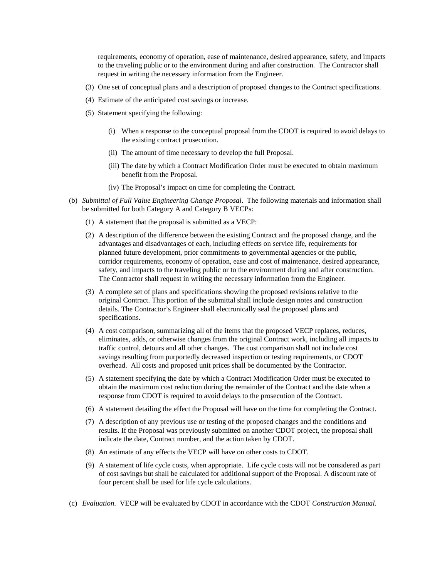requirements, economy of operation, ease of maintenance, desired appearance, safety, and impacts to the traveling public or to the environment during and after construction. The Contractor shall request in writing the necessary information from the Engineer.

- (3) One set of conceptual plans and a description of proposed changes to the Contract specifications.
- (4) Estimate of the anticipated cost savings or increase.
- (5) Statement specifying the following:
	- (i) When a response to the conceptual proposal from the CDOT is required to avoid delays to the existing contract prosecution.
	- (ii) The amount of time necessary to develop the full Proposal.
	- (iii) The date by which a Contract Modification Order must be executed to obtain maximum benefit from the Proposal.
	- (iv) The Proposal's impact on time for completing the Contract.
- (b) *Submittal of Full Value Engineering Change Proposal*. The following materials and information shall be submitted for both Category A and Category B VECPs:
	- (1) A statement that the proposal is submitted as a VECP:
	- (2) A description of the difference between the existing Contract and the proposed change, and the advantages and disadvantages of each, including effects on service life, requirements for planned future development, prior commitments to governmental agencies or the public, corridor requirements, economy of operation, ease and cost of maintenance, desired appearance, safety, and impacts to the traveling public or to the environment during and after construction. The Contractor shall request in writing the necessary information from the Engineer.
	- (3) A complete set of plans and specifications showing the proposed revisions relative to the original Contract. This portion of the submittal shall include design notes and construction details. The Contractor's Engineer shall electronically seal the proposed plans and specifications.
	- (4) A cost comparison, summarizing all of the items that the proposed VECP replaces, reduces, eliminates, adds, or otherwise changes from the original Contract work, including all impacts to traffic control, detours and all other changes. The cost comparison shall not include cost savings resulting from purportedly decreased inspection or testing requirements, or CDOT overhead. All costs and proposed unit prices shall be documented by the Contractor.
	- (5) A statement specifying the date by which a Contract Modification Order must be executed to obtain the maximum cost reduction during the remainder of the Contract and the date when a response from CDOT is required to avoid delays to the prosecution of the Contract.
	- (6) A statement detailing the effect the Proposal will have on the time for completing the Contract.
	- (7) A description of any previous use or testing of the proposed changes and the conditions and results. If the Proposal was previously submitted on another CDOT project, the proposal shall indicate the date, Contract number, and the action taken by CDOT.
	- (8) An estimate of any effects the VECP will have on other costs to CDOT.
	- (9) A statement of life cycle costs, when appropriate. Life cycle costs will not be considered as part of cost savings but shall be calculated for additional support of the Proposal. A discount rate of four percent shall be used for life cycle calculations.
- (c) *Evaluation.* VECP will be evaluated by CDOT in accordance with the CDOT *Construction Manual*.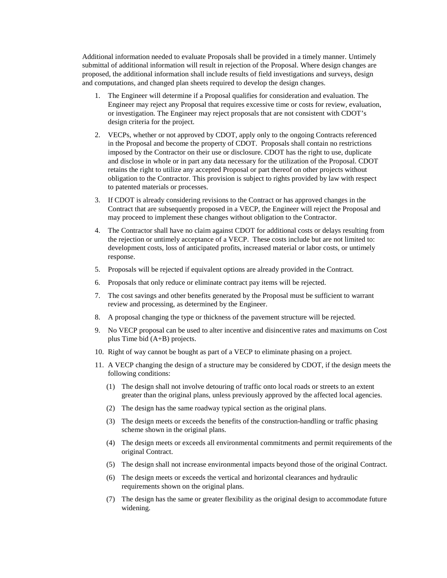Additional information needed to evaluate Proposals shall be provided in a timely manner. Untimely submittal of additional information will result in rejection of the Proposal. Where design changes are proposed, the additional information shall include results of field investigations and surveys, design and computations, and changed plan sheets required to develop the design changes.

- 1. The Engineer will determine if a Proposal qualifies for consideration and evaluation. The Engineer may reject any Proposal that requires excessive time or costs for review, evaluation, or investigation. The Engineer may reject proposals that are not consistent with CDOT's design criteria for the project.
- 2. VECPs, whether or not approved by CDOT, apply only to the ongoing Contracts referenced in the Proposal and become the property of CDOT. Proposals shall contain no restrictions imposed by the Contractor on their use or disclosure. CDOT has the right to use, duplicate and disclose in whole or in part any data necessary for the utilization of the Proposal. CDOT retains the right to utilize any accepted Proposal or part thereof on other projects without obligation to the Contractor. This provision is subject to rights provided by law with respect to patented materials or processes.
- 3. If CDOT is already considering revisions to the Contract or has approved changes in the Contract that are subsequently proposed in a VECP, the Engineer will reject the Proposal and may proceed to implement these changes without obligation to the Contractor.
- 4. The Contractor shall have no claim against CDOT for additional costs or delays resulting from the rejection or untimely acceptance of a VECP. These costs include but are not limited to: development costs, loss of anticipated profits, increased material or labor costs, or untimely response.
- 5. Proposals will be rejected if equivalent options are already provided in the Contract.
- 6. Proposals that only reduce or eliminate contract pay items will be rejected.
- 7. The cost savings and other benefits generated by the Proposal must be sufficient to warrant review and processing, as determined by the Engineer.
- 8. A proposal changing the type or thickness of the pavement structure will be rejected.
- 9. No VECP proposal can be used to alter incentive and disincentive rates and maximums on Cost plus Time bid (A+B) projects.
- 10. Right of way cannot be bought as part of a VECP to eliminate phasing on a project.
- 11. A VECP changing the design of a structure may be considered by CDOT, if the design meets the following conditions:
	- (1) The design shall not involve detouring of traffic onto local roads or streets to an extent greater than the original plans, unless previously approved by the affected local agencies.
	- (2) The design has the same roadway typical section as the original plans.
	- (3) The design meets or exceeds the benefits of the construction-handling or traffic phasing scheme shown in the original plans.
	- (4) The design meets or exceeds all environmental commitments and permit requirements of the original Contract.
	- (5) The design shall not increase environmental impacts beyond those of the original Contract.
	- (6) The design meets or exceeds the vertical and horizontal clearances and hydraulic requirements shown on the original plans.
	- (7) The design has the same or greater flexibility as the original design to accommodate future widening.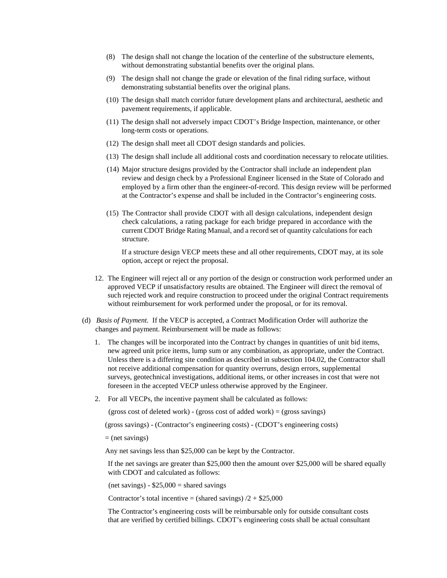- (8) The design shall not change the location of the centerline of the substructure elements, without demonstrating substantial benefits over the original plans.
- (9) The design shall not change the grade or elevation of the final riding surface, without demonstrating substantial benefits over the original plans.
- (10) The design shall match corridor future development plans and architectural, aesthetic and pavement requirements, if applicable.
- (11) The design shall not adversely impact CDOT's Bridge Inspection, maintenance, or other long-term costs or operations.
- (12) The design shall meet all CDOT design standards and policies.
- (13) The design shall include all additional costs and coordination necessary to relocate utilities.
- (14) Major structure designs provided by the Contractor shall include an independent plan review and design check by a Professional Engineer licensed in the State of Colorado and employed by a firm other than the engineer-of-record. This design review will be performed at the Contractor's expense and shall be included in the Contractor's engineering costs.
- (15) The Contractor shall provide CDOT with all design calculations, independent design check calculations, a rating package for each bridge prepared in accordance with the current CDOT Bridge Rating Manual, and a record set of quantity calculations for each structure.

If a structure design VECP meets these and all other requirements, CDOT may, at its sole option, accept or reject the proposal.

- 12. The Engineer will reject all or any portion of the design or construction work performed under an approved VECP if unsatisfactory results are obtained. The Engineer will direct the removal of such rejected work and require construction to proceed under the original Contract requirements without reimbursement for work performed under the proposal, or for its removal.
- (d) *Basis of Payment.* If the VECP is accepted, a Contract Modification Order will authorize the changes and payment. Reimbursement will be made as follows:
	- 1. The changes will be incorporated into the Contract by changes in quantities of unit bid items, new agreed unit price items, lump sum or any combination, as appropriate, under the Contract. Unless there is a differing site condition as described in subsection 104.02, the Contractor shall not receive additional compensation for quantity overruns, design errors, supplemental surveys, geotechnical investigations, additional items, or other increases in cost that were not foreseen in the accepted VECP unless otherwise approved by the Engineer.
	- 2. For all VECPs, the incentive payment shall be calculated as follows:

(gross cost of deleted work) - (gross cost of added work) = (gross savings)

(gross savings) - (Contractor's engineering costs) - (CDOT's engineering costs)

 $=$  (net savings)

Any net savings less than \$25,000 can be kept by the Contractor.

If the net savings are greater than \$25,000 then the amount over \$25,000 will be shared equally with CDOT and calculated as follows:

 $(net savings) - $25,000 = shared savings$ 

Contractor's total incentive = (shared savings)  $/2 + $25,000$ 

The Contractor's engineering costs will be reimbursable only for outside consultant costs that are verified by certified billings. CDOT's engineering costs shall be actual consultant